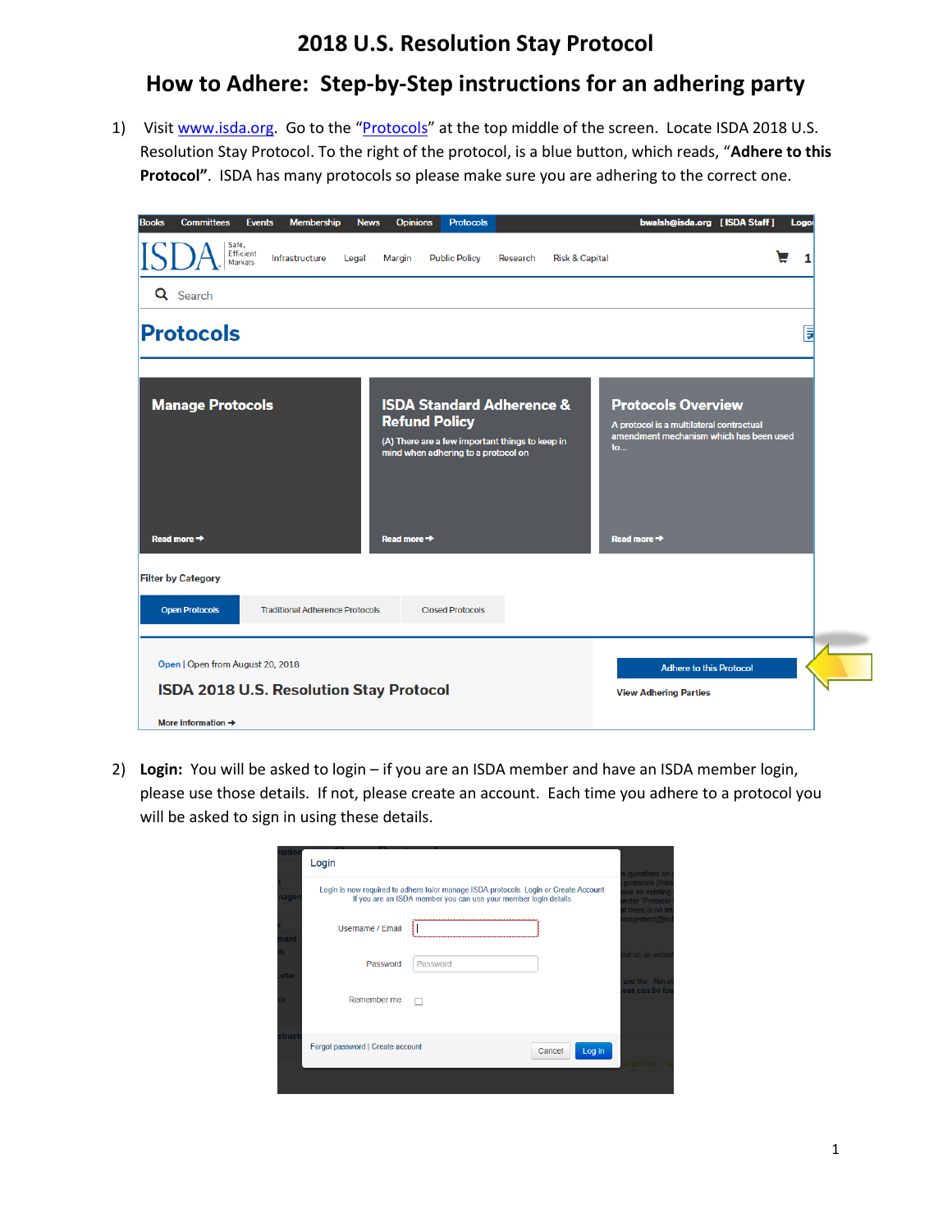## **2018 U.S. Resolution Stay Protocol**

## **How to Adhere: Step-by-Step instructions for an adhering party**

1) Visit [www.isda.org.](http://www.isda.org/) Go to the "[Protocols](https://www.isda.org/protocols/)" at the top middle of the screen. Locate ISDA 2018 U.S. Resolution Stay Protocol. To the right of the protocol, is a blue button, which reads, "**Adhere to this Protocol"**. ISDA has many protocols so please make sure you are adhering to the correct one.

| <b>Committees</b><br><b>Membership</b><br><b>Books</b><br><b>Events</b>     | <b>Opinions</b><br><b>Protocols</b><br><b>News</b>                                                                                                     | bwalsh@isda.org [ISDA Staff]<br>Logot                                                                                  |
|-----------------------------------------------------------------------------|--------------------------------------------------------------------------------------------------------------------------------------------------------|------------------------------------------------------------------------------------------------------------------------|
| Safe,<br>Efficient<br>Infrastructure<br>Legal<br>Markets                    | <b>Public Policy</b><br><b>Risk &amp; Capital</b><br>Margin<br>Research                                                                                | 1                                                                                                                      |
| Q Search                                                                    |                                                                                                                                                        |                                                                                                                        |
| Protocols                                                                   |                                                                                                                                                        | 厚                                                                                                                      |
| <b>Manage Protocols</b>                                                     | <b>ISDA Standard Adherence &amp;</b><br><b>Refund Policy</b><br>(A) There are a few important things to keep in<br>mind when adhering to a protocol on | <b>Protocols Overview</b><br>A protocol is a multilateral contractual<br>amendment mechanism which has been used<br>to |
| Read more $\rightarrow$                                                     | Read more $\rightarrow$                                                                                                                                | Read more $\rightarrow$                                                                                                |
| <b>Filter by Category</b>                                                   |                                                                                                                                                        |                                                                                                                        |
| <b>Open Protocols</b><br><b>Traditional Adherence Protocols</b>             | <b>Closed Protocols</b>                                                                                                                                |                                                                                                                        |
| Open   Open from August 20, 2018<br>ISDA 2018 U.S. Resolution Stay Protocol |                                                                                                                                                        | <b>Adhere to this Protocol</b><br><b>View Adhering Parties</b>                                                         |
| More information $\rightarrow$                                              |                                                                                                                                                        |                                                                                                                        |

2) **Login:** You will be asked to login – if you are an ISDA member and have an ISDA member login, please use those details. If not, please create an account. Each time you adhere to a protocol you will be asked to sign in using these details.

| tatio        | Login                            |                                                                                                                                                           |        |        | e questions on a                                                            |
|--------------|----------------------------------|-----------------------------------------------------------------------------------------------------------------------------------------------------------|--------|--------|-----------------------------------------------------------------------------|
| age          |                                  | Login is now required to adhere to/or manage ISDA protocols. Login or Create Account.<br>If you are an ISDA member you can use your member login details. |        |        | protocols (links<br>ave an existing<br>nder "Protocol<br>it there is no int |
| nent         | <b>Username / Email</b>          |                                                                                                                                                           |        |        | nagement@isd                                                                |
| etter        | Password                         | Password                                                                                                                                                  |        |        | col on its websit<br>and the Novat                                          |
|              | Remember me                      |                                                                                                                                                           |        |        | ess can be fou                                                              |
| <b>truct</b> | Forgot password   Create account |                                                                                                                                                           | Cancel | Log in | <b>EIFTTER</b>                                                              |
|              |                                  |                                                                                                                                                           |        |        |                                                                             |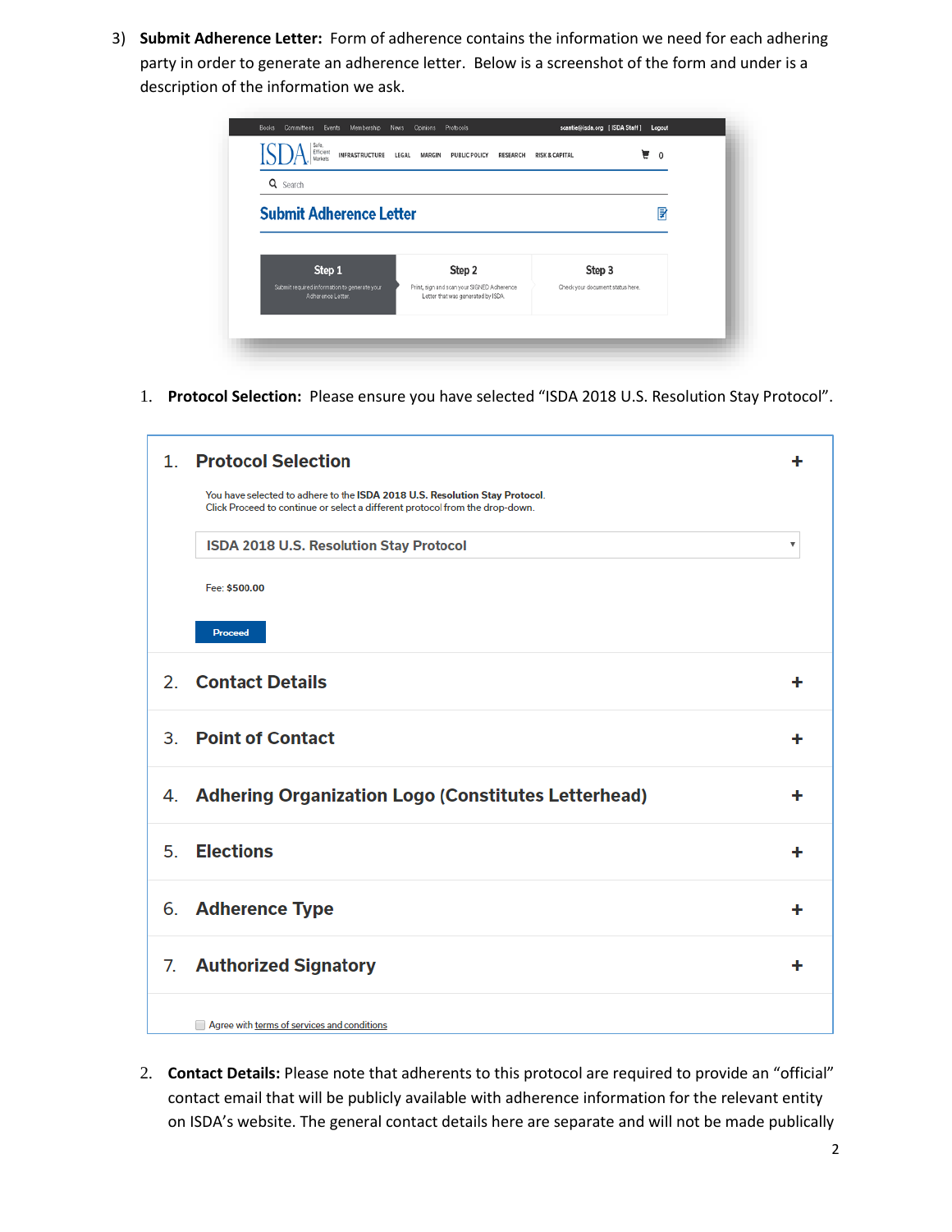3) **Submit Adherence Letter:** Form of adherence contains the information we need for each adhering party in order to generate an adherence letter. Below is a screenshot of the form and under is a description of the information we ask.

| Q Search                       |        |        |   |
|--------------------------------|--------|--------|---|
| <b>Submit Adherence Letter</b> |        |        | ? |
|                                |        |        |   |
|                                |        |        |   |
| Step 1                         | Step 2 | Step 3 |   |

1. **Protocol Selection:** Please ensure you have selected "ISDA 2018 U.S. Resolution Stay Protocol".

| 1 <sup>1</sup> | <b>Protocol Selection</b>                                                                                                                                   | ╋ |
|----------------|-------------------------------------------------------------------------------------------------------------------------------------------------------------|---|
|                | You have selected to adhere to the ISDA 2018 U.S. Resolution Stay Protocol.<br>Click Proceed to continue or select a different protocol from the drop-down. |   |
|                | ISDA 2018 U.S. Resolution Stay Protocol                                                                                                                     | ▼ |
|                | Fee: \$500.00                                                                                                                                               |   |
|                | Proceed                                                                                                                                                     |   |
| 2 <sub>1</sub> | <b>Contact Details</b>                                                                                                                                      | ╋ |
| 3 <sub>1</sub> | <b>Point of Contact</b>                                                                                                                                     | ÷ |
|                | 4. Adhering Organization Logo (Constitutes Letterhead)                                                                                                      | + |
| 5.             | <b>Elections</b>                                                                                                                                            | ٠ |
|                | 6. Adherence Type                                                                                                                                           | ٠ |
| 7.             | <b>Authorized Signatory</b>                                                                                                                                 | ٠ |
|                | Agree with terms of services and conditions                                                                                                                 |   |

2. **Contact Details:** Please note that adherents to this protocol are required to provide an "official" contact email that will be publicly available with adherence information for the relevant entity on ISDA's website. The general contact details here are separate and will not be made publically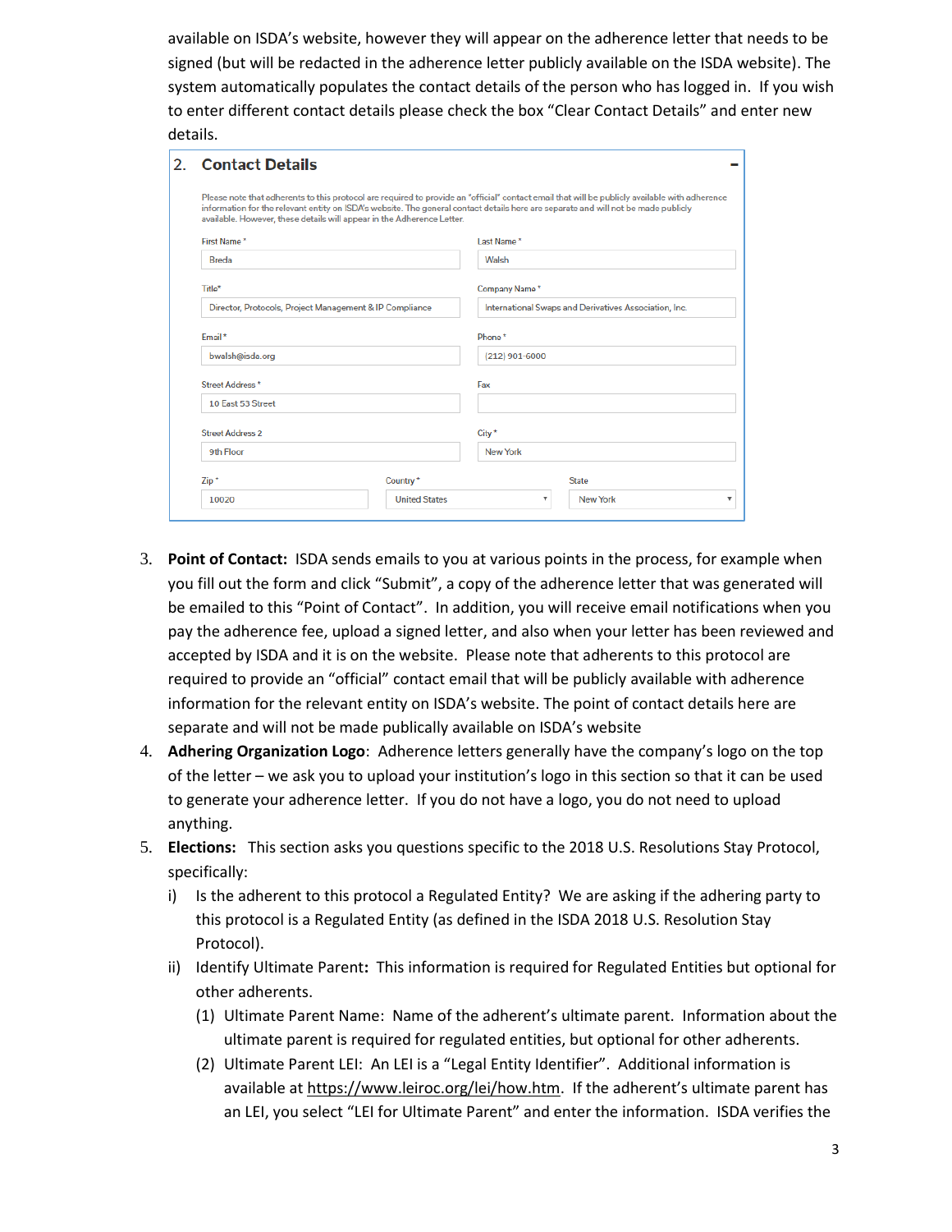available on ISDA's website, however they will appear on the adherence letter that needs to be signed (but will be redacted in the adherence letter publicly available on the ISDA website). The system automatically populates the contact details of the person who has logged in. If you wish to enter different contact details please check the box "Clear Contact Details" and enter new details.

| <b>Contact Details</b><br>2.                                                                                                  |                                                                        |                                                                                                                                                                                                                                                                                      |  |                                                           |  |                               |  |         |                      |                      |   |
|-------------------------------------------------------------------------------------------------------------------------------|------------------------------------------------------------------------|--------------------------------------------------------------------------------------------------------------------------------------------------------------------------------------------------------------------------------------------------------------------------------------|--|-----------------------------------------------------------|--|-------------------------------|--|---------|----------------------|----------------------|---|
|                                                                                                                               | available. However, these details will appear in the Adherence Letter. | Please note that adherents to this protocol are required to provide an "official" contact email that will be publicly available with adherence<br>information for the relevant entity on ISDA's website. The general contact details here are separate and will not be made publicly |  |                                                           |  |                               |  |         |                      |                      |   |
| First Name*<br><b>Breda</b><br>Title*<br>Director, Protocols, Project Management & IP Compliance<br>Email*<br>bwalsh@isda.org |                                                                        | Last Name*<br>Walsh<br>Company Name*<br>International Swaps and Derivatives Association, Inc.<br>Phone*<br>$(212)$ 901-6000                                                                                                                                                          |  |                                                           |  |                               |  |         |                      |                      |   |
|                                                                                                                               |                                                                        |                                                                                                                                                                                                                                                                                      |  | Street Address*                                           |  | Fax                           |  |         |                      |                      |   |
|                                                                                                                               |                                                                        |                                                                                                                                                                                                                                                                                      |  | 10 East 53 Street<br><b>Street Address 2</b><br>9th Floor |  | City <sup>*</sup><br>New York |  |         |                      |                      |   |
|                                                                                                                               |                                                                        |                                                                                                                                                                                                                                                                                      |  |                                                           |  |                               |  | $Zip *$ | Country*             | <b>State</b>         |   |
|                                                                                                                               |                                                                        |                                                                                                                                                                                                                                                                                      |  |                                                           |  |                               |  | 10020   | <b>United States</b> | <b>New York</b><br>v | v |

- 3. **Point of Contact:** ISDA sends emails to you at various points in the process, for example when you fill out the form and click "Submit", a copy of the adherence letter that was generated will be emailed to this "Point of Contact". In addition, you will receive email notifications when you pay the adherence fee, upload a signed letter, and also when your letter has been reviewed and accepted by ISDA and it is on the website. Please note that adherents to this protocol are required to provide an "official" contact email that will be publicly available with adherence information for the relevant entity on ISDA's website. The point of contact details here are separate and will not be made publically available on ISDA's website
- 4. **Adhering Organization Logo**: Adherence letters generally have the company's logo on the top of the letter – we ask you to upload your institution's logo in this section so that it can be used to generate your adherence letter. If you do not have a logo, you do not need to upload anything.
- 5. **Elections:** This section asks you questions specific to the 2018 U.S. Resolutions Stay Protocol, specifically:
	- i) Is the adherent to this protocol a Regulated Entity? We are asking if the adhering party to this protocol is a Regulated Entity (as defined in the ISDA 2018 U.S. Resolution Stay Protocol).
	- ii) Identify Ultimate Parent**:** This information is required for Regulated Entities but optional for other adherents.
		- (1) Ultimate Parent Name: Name of the adherent's ultimate parent. Information about the ultimate parent is required for regulated entities, but optional for other adherents.
		- (2) Ultimate Parent LEI: An LEI is a "Legal Entity Identifier". Additional information is available a[t https://www.leiroc.org/lei/how.htm.](https://www.leiroc.org/lei/how.htm) If the adherent's ultimate parent has an LEI, you select "LEI for Ultimate Parent" and enter the information. ISDA verifies the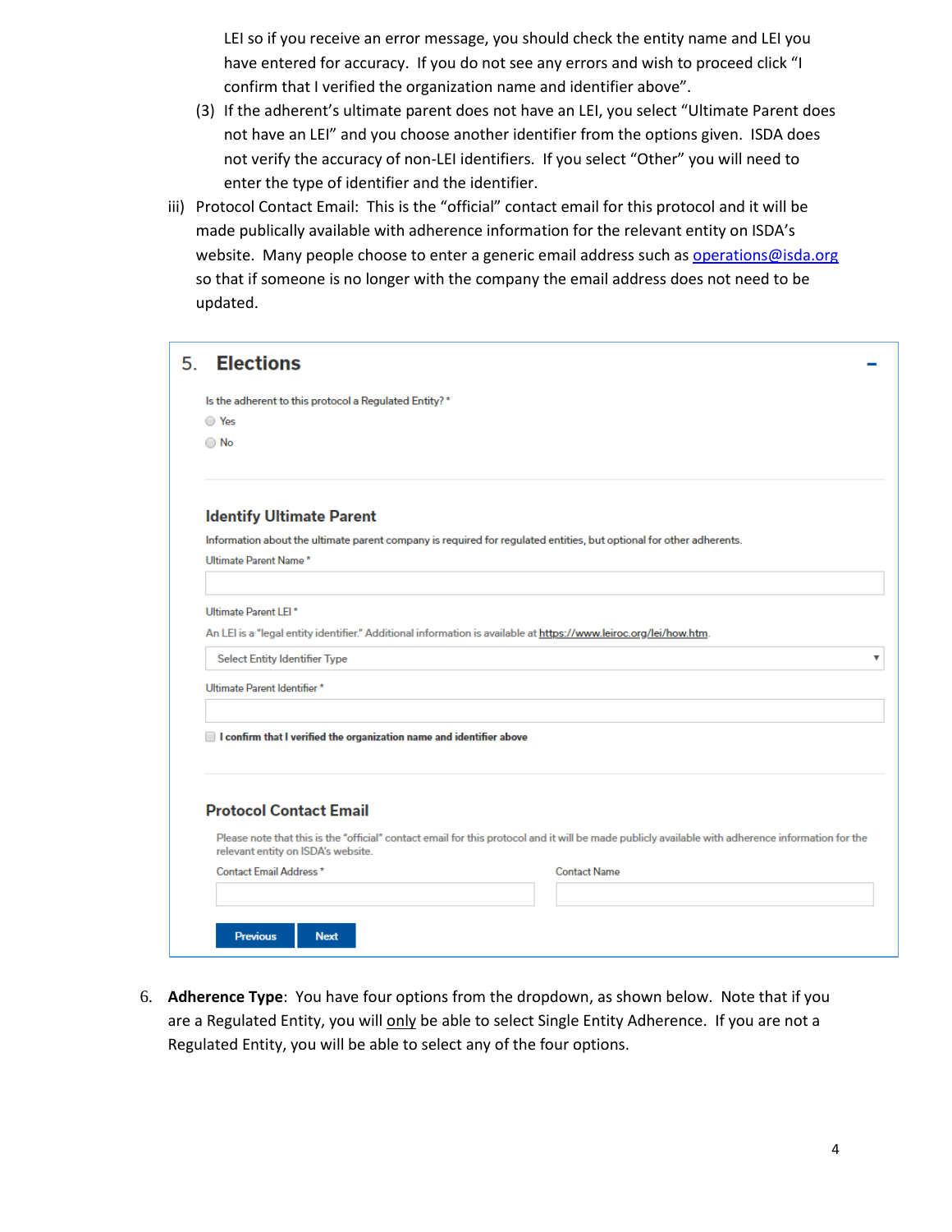LEI so if you receive an error message, you should check the entity name and LEI you have entered for accuracy. If you do not see any errors and wish to proceed click "I confirm that I verified the organization name and identifier above".

- (3) If the adherent's ultimate parent does not have an LEI, you select "Ultimate Parent does not have an LEI" and you choose another identifier from the options given. ISDA does not verify the accuracy of non-LEI identifiers. If you select "Other" you will need to enter the type of identifier and the identifier.
- iii) Protocol Contact Email: This is the "official" contact email for this protocol and it will be made publically available with adherence information for the relevant entity on ISDA's website. Many people choose to enter a generic email address such a[s operations@isda.org](mailto:operations@isda.org) so that if someone is no longer with the company the email address does not need to be updated.

| Is the adherent to this protocol a Regulated Entity?*                               |                                                                                                                                                   |
|-------------------------------------------------------------------------------------|---------------------------------------------------------------------------------------------------------------------------------------------------|
| O Yes                                                                               |                                                                                                                                                   |
| $\bigcirc$ No                                                                       |                                                                                                                                                   |
|                                                                                     |                                                                                                                                                   |
| <b>Identify Ultimate Parent</b>                                                     |                                                                                                                                                   |
|                                                                                     | Information about the ultimate parent company is required for regulated entities, but optional for other adherents.                               |
| Ultimate Parent Name*                                                               |                                                                                                                                                   |
|                                                                                     |                                                                                                                                                   |
| Ultimate Parent LEI*                                                                |                                                                                                                                                   |
|                                                                                     | An LEI is a "legal entity identifier." Additional information is available at https://www.leiroc.org/lei/how.htm.                                 |
| <b>Select Entity Identifier Type</b>                                                |                                                                                                                                                   |
| Ultimate Parent Identifier *                                                        |                                                                                                                                                   |
|                                                                                     |                                                                                                                                                   |
| $\blacksquare$ I confirm that I verified the organization name and identifier above |                                                                                                                                                   |
|                                                                                     |                                                                                                                                                   |
| <b>Protocol Contact Email</b>                                                       |                                                                                                                                                   |
|                                                                                     |                                                                                                                                                   |
| relevant entity on ISDA's website.                                                  | Please note that this is the "official" contact email for this protocol and it will be made publicly available with adherence information for the |
| Contact Email Address*                                                              | <b>Contact Name</b>                                                                                                                               |
|                                                                                     |                                                                                                                                                   |

6. **Adherence Type**: You have four options from the dropdown, as shown below. Note that if you are a Regulated Entity, you will only be able to select Single Entity Adherence. If you are not a Regulated Entity, you will be able to select any of the four options.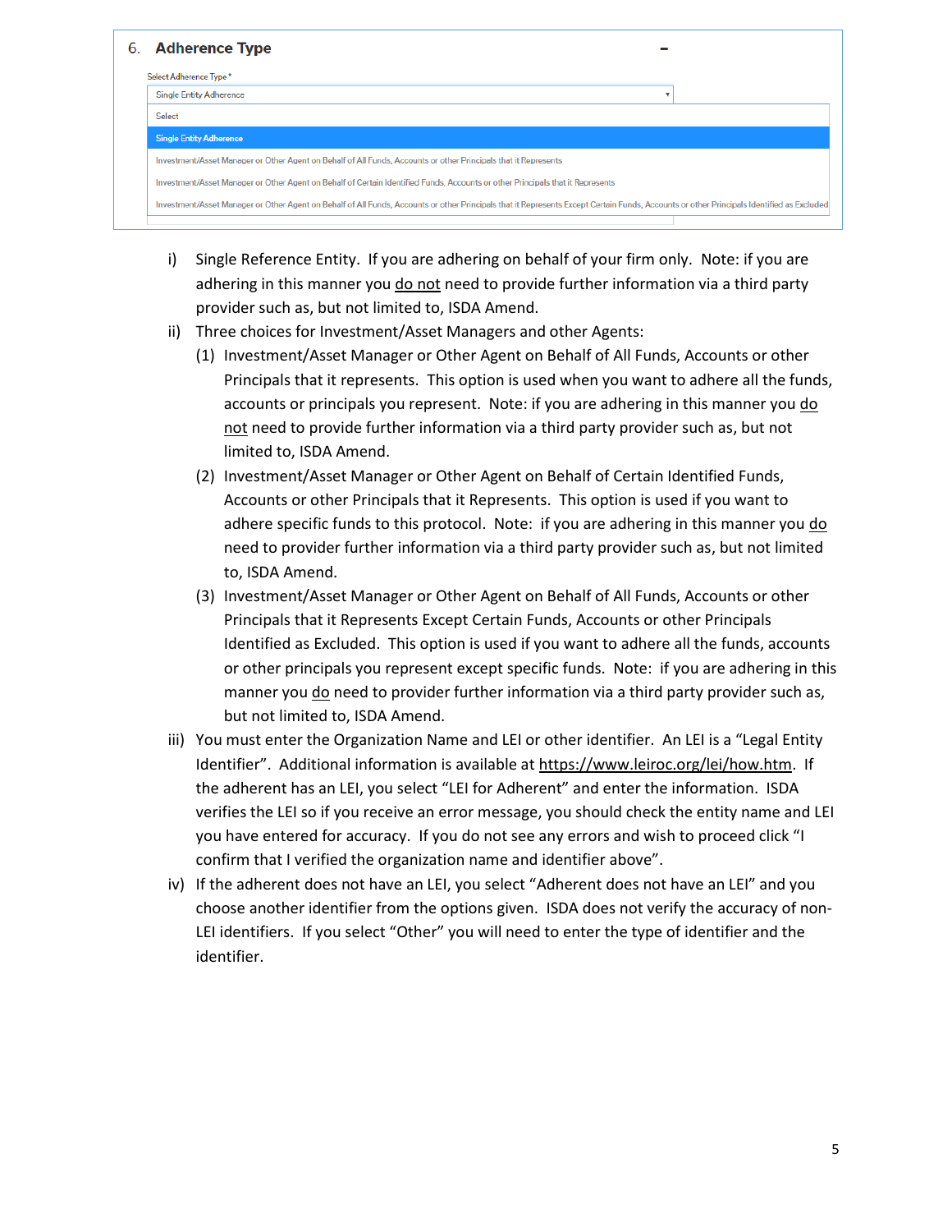

- i) Single Reference Entity. If you are adhering on behalf of your firm only. Note: if you are adhering in this manner you do not need to provide further information via a third party provider such as, but not limited to, ISDA Amend.
- ii) Three choices for Investment/Asset Managers and other Agents:
	- (1) Investment/Asset Manager or Other Agent on Behalf of All Funds, Accounts or other Principals that it represents. This option is used when you want to adhere all the funds, accounts or principals you represent. Note: if you are adhering in this manner you do not need to provide further information via a third party provider such as, but not limited to, ISDA Amend.
	- (2) Investment/Asset Manager or Other Agent on Behalf of Certain Identified Funds, Accounts or other Principals that it Represents. This option is used if you want to adhere specific funds to this protocol. Note: if you are adhering in this manner you do need to provider further information via a third party provider such as, but not limited to, ISDA Amend.
	- (3) Investment/Asset Manager or Other Agent on Behalf of All Funds, Accounts or other Principals that it Represents Except Certain Funds, Accounts or other Principals Identified as Excluded. This option is used if you want to adhere all the funds, accounts or other principals you represent except specific funds. Note: if you are adhering in this manner you do need to provider further information via a third party provider such as, but not limited to, ISDA Amend.
- iii) You must enter the Organization Name and LEI or other identifier. An LEI is a "Legal Entity Identifier". Additional information is available a[t https://www.leiroc.org/lei/how.htm.](https://www.leiroc.org/lei/how.htm) If the adherent has an LEI, you select "LEI for Adherent" and enter the information. ISDA verifies the LEI so if you receive an error message, you should check the entity name and LEI you have entered for accuracy. If you do not see any errors and wish to proceed click "I confirm that I verified the organization name and identifier above".
- iv) If the adherent does not have an LEI, you select "Adherent does not have an LEI" and you choose another identifier from the options given. ISDA does not verify the accuracy of non-LEI identifiers. If you select "Other" you will need to enter the type of identifier and the identifier.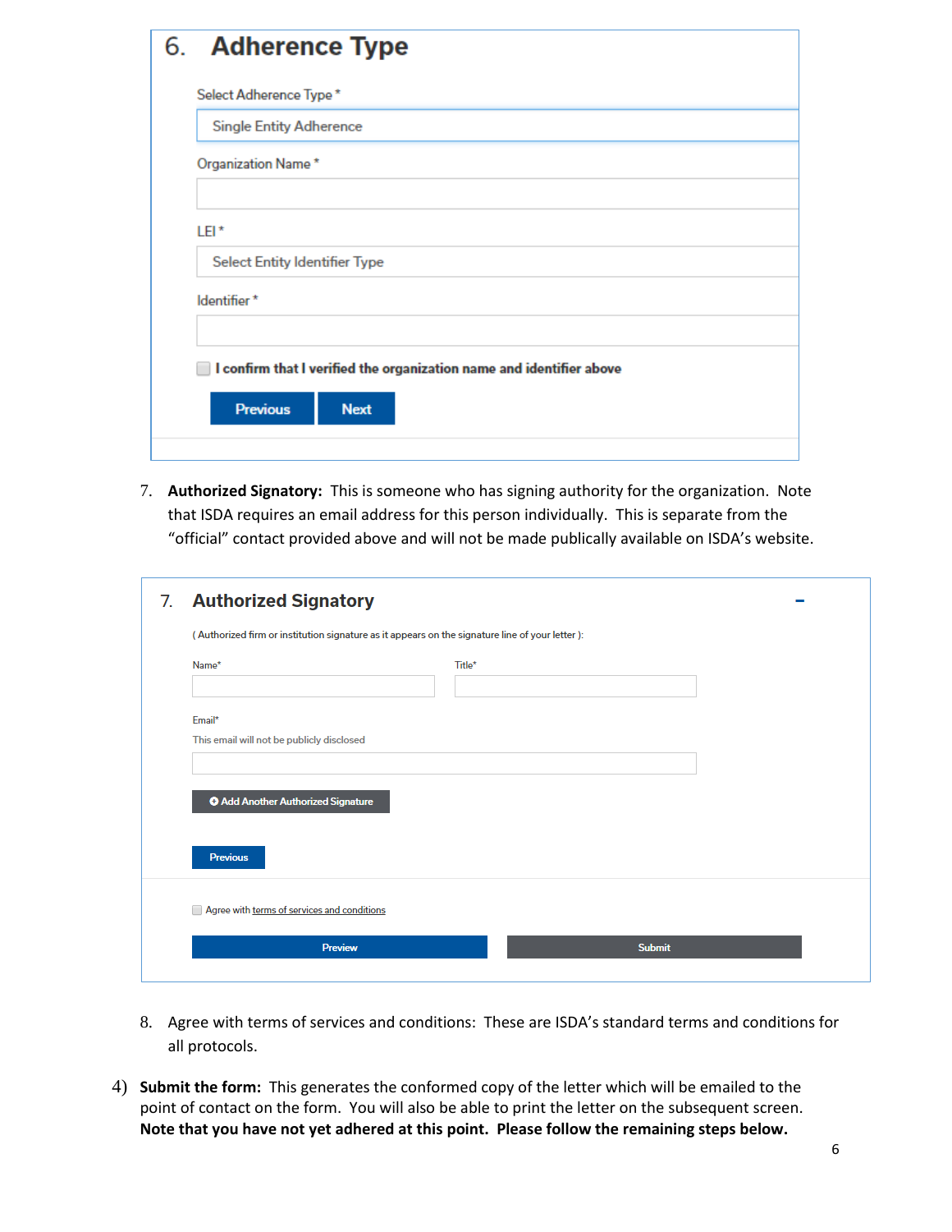| 6. Adherence Type                                                                |
|----------------------------------------------------------------------------------|
| Select Adherence Type*                                                           |
| <b>Single Entity Adherence</b>                                                   |
| Organization Name*                                                               |
|                                                                                  |
| LEI*                                                                             |
| <b>Select Entity Identifier Type</b>                                             |
| Identifier*                                                                      |
|                                                                                  |
| $\parallel$ I confirm that I verified the organization name and identifier above |
| <b>Previous</b><br><b>Next</b>                                                   |
|                                                                                  |

7. **Authorized Signatory:** This is someone who has signing authority for the organization. Note that ISDA requires an email address for this person individually. This is separate from the "official" contact provided above and will not be made publically available on ISDA's website.

| 7. | <b>Authorized Signatory</b>                                                                    |        |               |
|----|------------------------------------------------------------------------------------------------|--------|---------------|
|    | (Authorized firm or institution signature as it appears on the signature line of your letter): |        |               |
|    | Name*                                                                                          | Title* |               |
|    | Email*<br>This email will not be publicly disclosed                                            |        |               |
|    | <b>O</b> Add Another Authorized Signature<br><b>Previous</b>                                   |        |               |
|    | Agree with terms of services and conditions<br><b>Preview</b>                                  |        | <b>Submit</b> |
|    |                                                                                                |        |               |

- 8. Agree with terms of services and conditions: These are ISDA's standard terms and conditions for all protocols.
- 4) **Submit the form:** This generates the conformed copy of the letter which will be emailed to the point of contact on the form. You will also be able to print the letter on the subsequent screen. **Note that you have not yet adhered at this point. Please follow the remaining steps below.**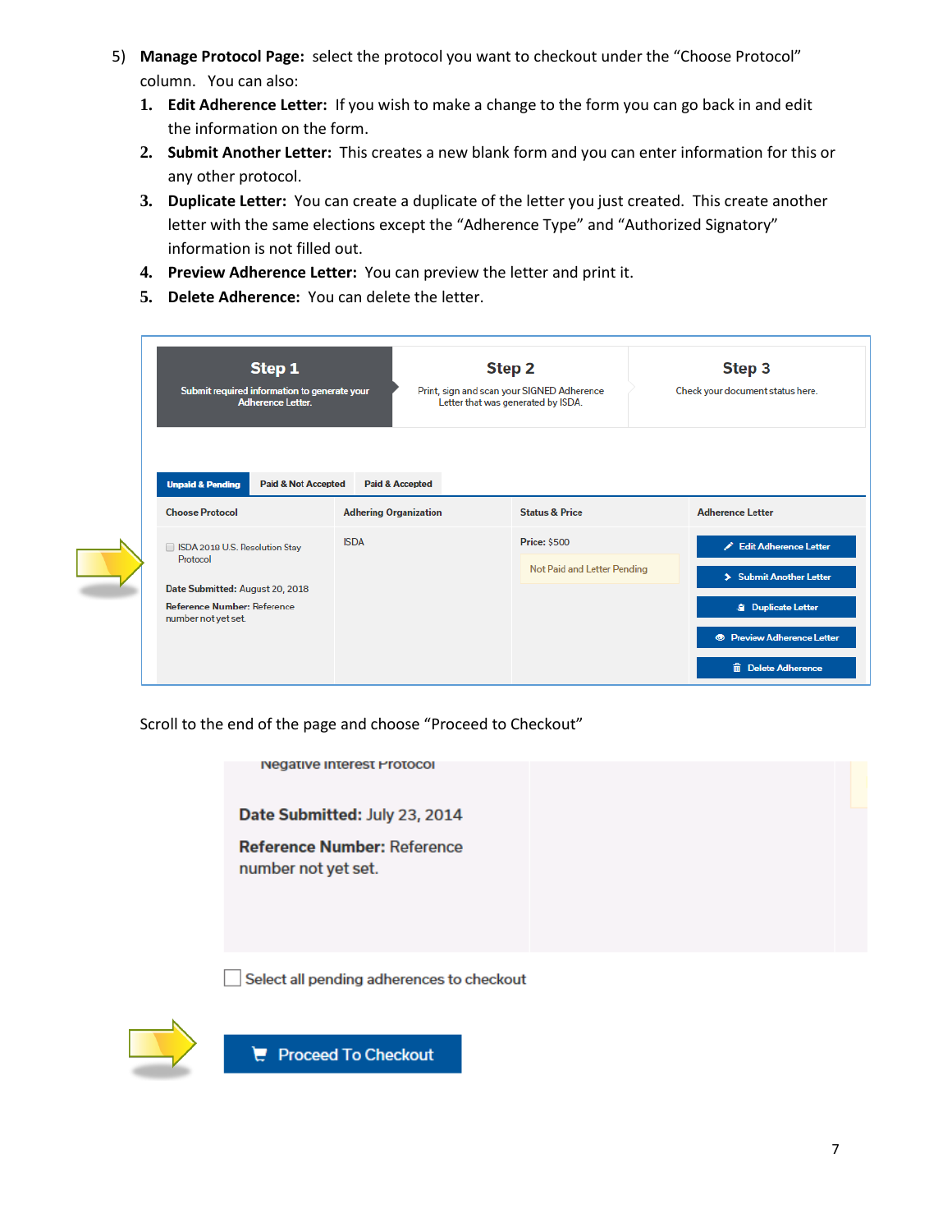- 5) **Manage Protocol Page:** select the protocol you want to checkout under the "Choose Protocol" column. You can also:
	- **1. Edit Adherence Letter:** If you wish to make a change to the form you can go back in and edit the information on the form.
	- **2. Submit Another Letter:** This creates a new blank form and you can enter information for this or any other protocol.
	- **3. Duplicate Letter:** You can create a duplicate of the letter you just created. This create another letter with the same elections except the "Adherence Type" and "Authorized Signatory" information is not filled out.
	- **4. Preview Adherence Letter:** You can preview the letter and print it.
	- **5. Delete Adherence:** You can delete the letter.

| Submit required information to generate your<br><b>Adherence Letter.</b>                     |                              | Step 2<br>Print, sign and scan your SIGNED Adherence<br>Letter that was generated by ISDA. | Step 3<br>Check your document status here. |  |
|----------------------------------------------------------------------------------------------|------------------------------|--------------------------------------------------------------------------------------------|--------------------------------------------|--|
| <b>Unpaid &amp; Pending</b><br><b>Paid &amp; Not Accepted</b>                                | <b>Paid &amp; Accepted</b>   |                                                                                            |                                            |  |
| <b>Choose Protocol</b>                                                                       | <b>Adhering Organization</b> | <b>Status &amp; Price</b>                                                                  | <b>Adherence Letter</b>                    |  |
|                                                                                              | <b>ISDA</b>                  | <b>Price: \$500</b>                                                                        | Edit Adherence Letter                      |  |
| SDA 2018 U.S. Resolution Stay                                                                |                              |                                                                                            |                                            |  |
| Protocol                                                                                     |                              | Not Paid and Letter Pending                                                                | > Submit Another Letter                    |  |
| Date Submitted: August 20, 2018<br><b>Reference Number: Reference</b><br>number not yet set. |                              |                                                                                            | <b>S</b> Duplicate Letter                  |  |

Scroll to the end of the page and choose "Proceed to Checkout"



 $\Box$  Select all pending adherences to checkout



 $F$  Proceed To Checkout